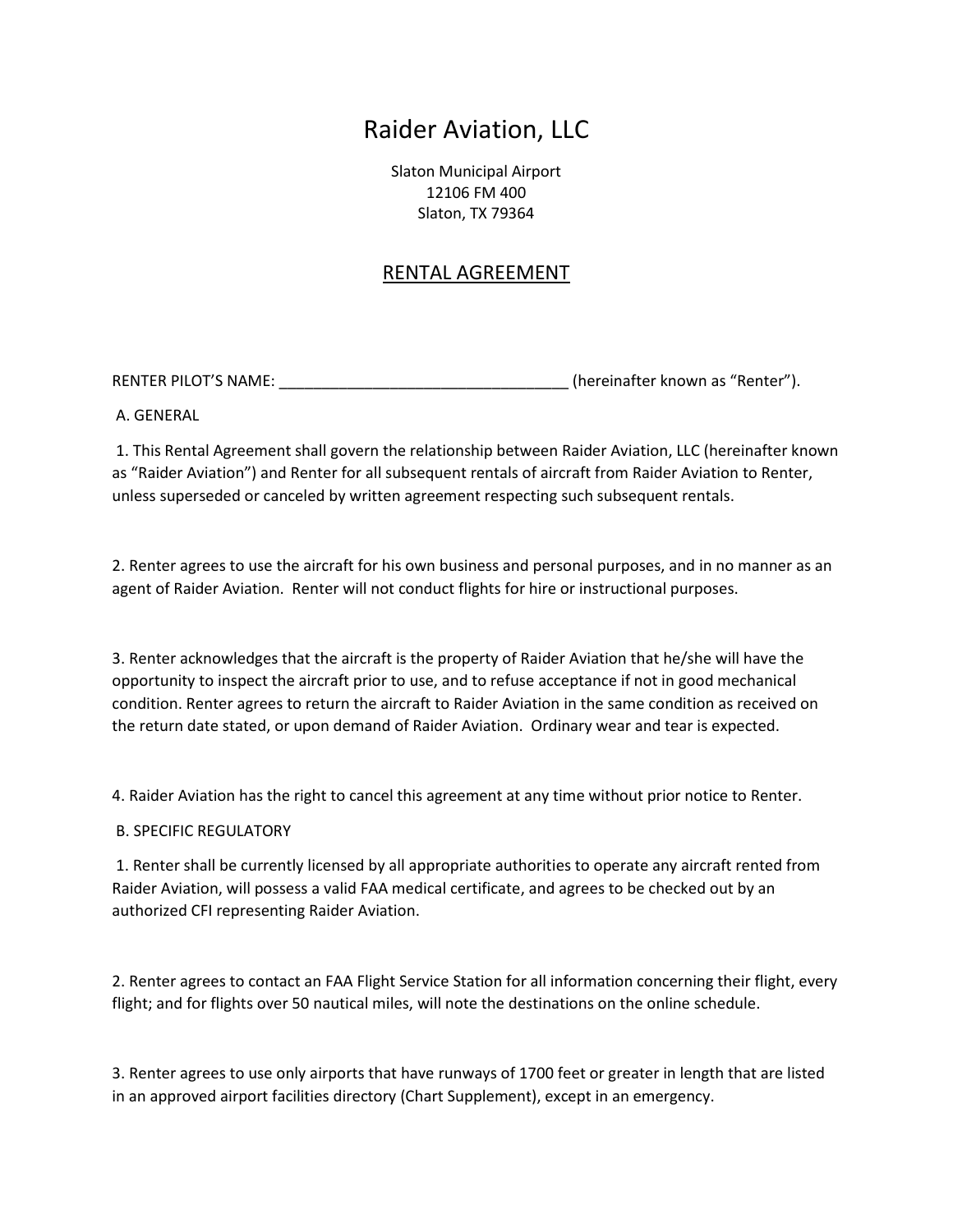## Raider Aviation, LLC

Slaton Municipal Airport 12106 FM 400 Slaton, TX 79364

## RENTAL AGREEMENT

RENTER PILOT'S NAME: \_\_\_\_\_\_\_\_\_\_\_\_\_\_\_\_\_\_\_\_\_\_\_\_\_\_\_\_\_\_\_\_\_\_ (hereinafter known as "Renter").

A. GENERAL

 1. This Rental Agreement shall govern the relationship between Raider Aviation, LLC (hereinafter known as "Raider Aviation") and Renter for all subsequent rentals of aircraft from Raider Aviation to Renter, unless superseded or canceled by written agreement respecting such subsequent rentals.

2. Renter agrees to use the aircraft for his own business and personal purposes, and in no manner as an agent of Raider Aviation. Renter will not conduct flights for hire or instructional purposes.

3. Renter acknowledges that the aircraft is the property of Raider Aviation that he/she will have the opportunity to inspect the aircraft prior to use, and to refuse acceptance if not in good mechanical condition. Renter agrees to return the aircraft to Raider Aviation in the same condition as received on the return date stated, or upon demand of Raider Aviation. Ordinary wear and tear is expected.

4. Raider Aviation has the right to cancel this agreement at any time without prior notice to Renter.

B. SPECIFIC REGULATORY

 1. Renter shall be currently licensed by all appropriate authorities to operate any aircraft rented from Raider Aviation, will possess a valid FAA medical certificate, and agrees to be checked out by an authorized CFI representing Raider Aviation.

2. Renter agrees to contact an FAA Flight Service Station for all information concerning their flight, every flight; and for flights over 50 nautical miles, will note the destinations on the online schedule.

3. Renter agrees to use only airports that have runways of 1700 feet or greater in length that are listed in an approved airport facilities directory (Chart Supplement), except in an emergency.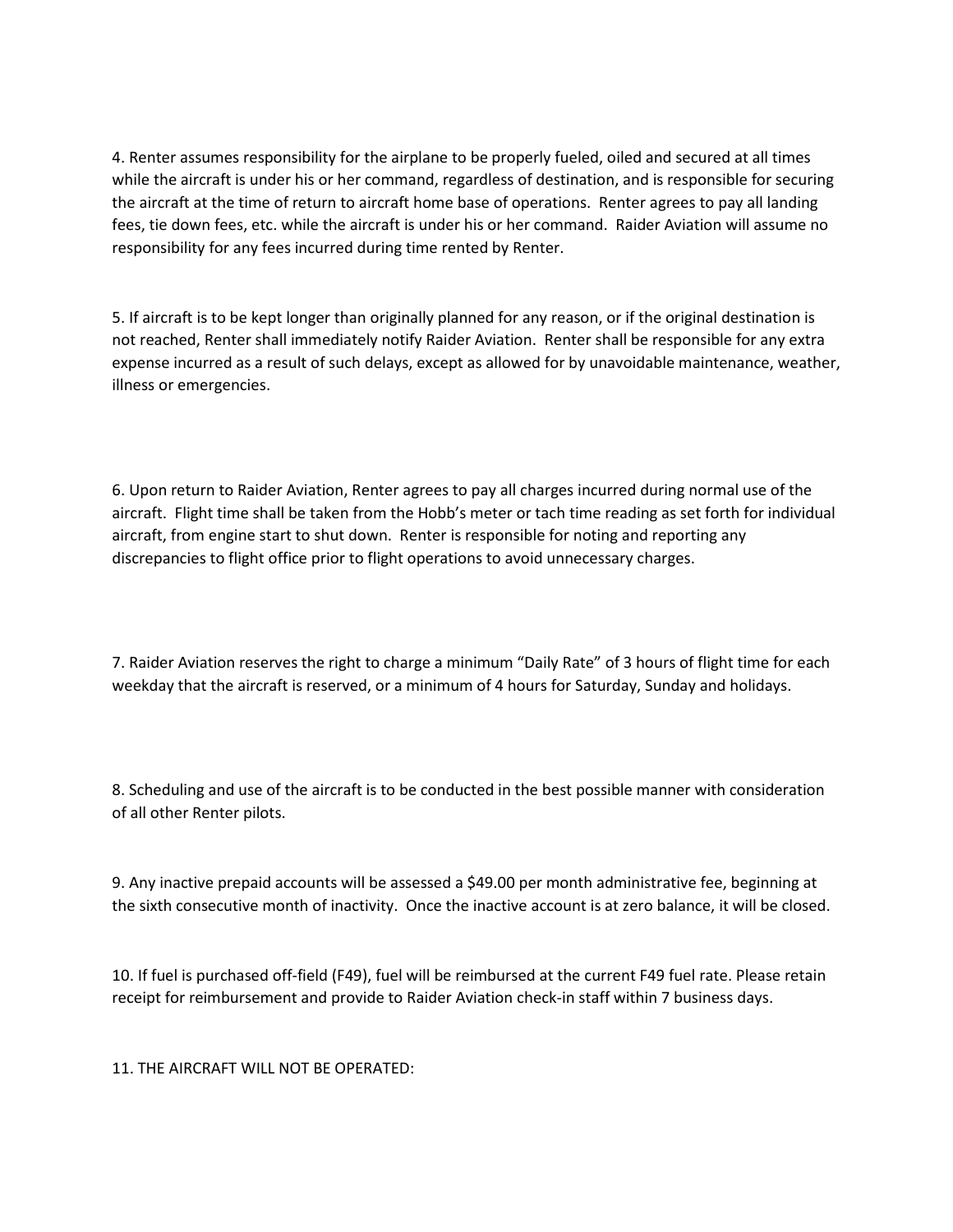4. Renter assumes responsibility for the airplane to be properly fueled, oiled and secured at all times while the aircraft is under his or her command, regardless of destination, and is responsible for securing the aircraft at the time of return to aircraft home base of operations. Renter agrees to pay all landing fees, tie down fees, etc. while the aircraft is under his or her command. Raider Aviation will assume no responsibility for any fees incurred during time rented by Renter.

5. If aircraft is to be kept longer than originally planned for any reason, or if the original destination is not reached, Renter shall immediately notify Raider Aviation. Renter shall be responsible for any extra expense incurred as a result of such delays, except as allowed for by unavoidable maintenance, weather, illness or emergencies.

6. Upon return to Raider Aviation, Renter agrees to pay all charges incurred during normal use of the aircraft. Flight time shall be taken from the Hobb's meter or tach time reading as set forth for individual aircraft, from engine start to shut down. Renter is responsible for noting and reporting any discrepancies to flight office prior to flight operations to avoid unnecessary charges.

7. Raider Aviation reserves the right to charge a minimum "Daily Rate" of 3 hours of flight time for each weekday that the aircraft is reserved, or a minimum of 4 hours for Saturday, Sunday and holidays.

8. Scheduling and use of the aircraft is to be conducted in the best possible manner with consideration of all other Renter pilots.

9. Any inactive prepaid accounts will be assessed a \$49.00 per month administrative fee, beginning at the sixth consecutive month of inactivity. Once the inactive account is at zero balance, it will be closed.

10. If fuel is purchased off-field (F49), fuel will be reimbursed at the current F49 fuel rate. Please retain receipt for reimbursement and provide to Raider Aviation check-in staff within 7 business days.

11. THE AIRCRAFT WILL NOT BE OPERATED: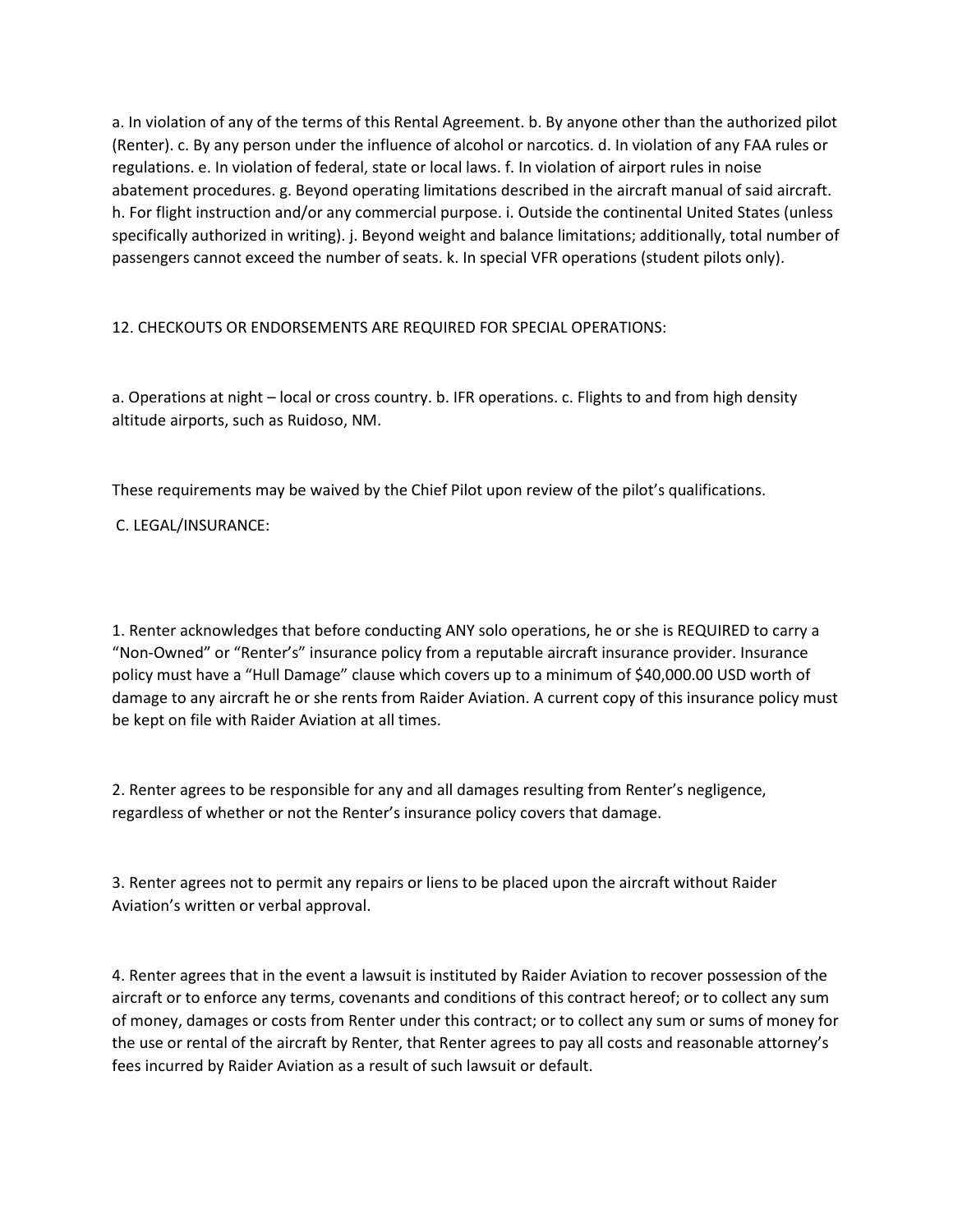a. In violation of any of the terms of this Rental Agreement. b. By anyone other than the authorized pilot (Renter). c. By any person under the influence of alcohol or narcotics. d. In violation of any FAA rules or regulations. e. In violation of federal, state or local laws. f. In violation of airport rules in noise abatement procedures. g. Beyond operating limitations described in the aircraft manual of said aircraft. h. For flight instruction and/or any commercial purpose. i. Outside the continental United States (unless specifically authorized in writing). j. Beyond weight and balance limitations; additionally, total number of passengers cannot exceed the number of seats. k. In special VFR operations (student pilots only).

12. CHECKOUTS OR ENDORSEMENTS ARE REQUIRED FOR SPECIAL OPERATIONS:

a. Operations at night – local or cross country. b. IFR operations. c. Flights to and from high density altitude airports, such as Ruidoso, NM.

These requirements may be waived by the Chief Pilot upon review of the pilot's qualifications.

C. LEGAL/INSURANCE:

1. Renter acknowledges that before conducting ANY solo operations, he or she is REQUIRED to carry a "Non-Owned" or "Renter's" insurance policy from a reputable aircraft insurance provider. Insurance policy must have a "Hull Damage" clause which covers up to a minimum of \$40,000.00 USD worth of damage to any aircraft he or she rents from Raider Aviation. A current copy of this insurance policy must be kept on file with Raider Aviation at all times.

2. Renter agrees to be responsible for any and all damages resulting from Renter's negligence, regardless of whether or not the Renter's insurance policy covers that damage.

3. Renter agrees not to permit any repairs or liens to be placed upon the aircraft without Raider Aviation's written or verbal approval.

4. Renter agrees that in the event a lawsuit is instituted by Raider Aviation to recover possession of the aircraft or to enforce any terms, covenants and conditions of this contract hereof; or to collect any sum of money, damages or costs from Renter under this contract; or to collect any sum or sums of money for the use or rental of the aircraft by Renter, that Renter agrees to pay all costs and reasonable attorney's fees incurred by Raider Aviation as a result of such lawsuit or default.